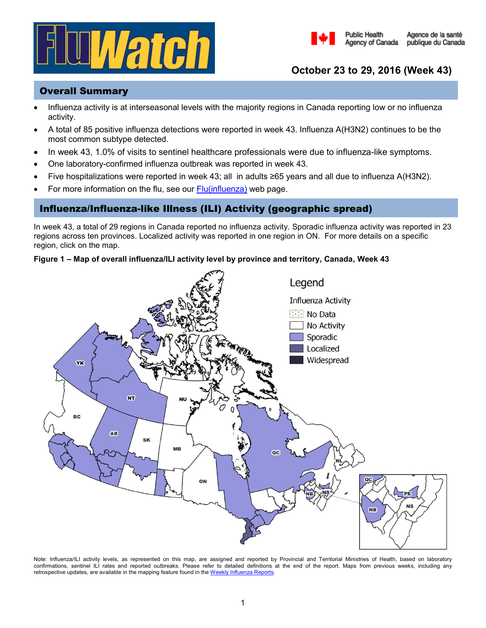



# **October 23 to 29, 2016 (Week 43)**

**Public Health** 

## Overall Summary

- Influenza activity is at interseasonal levels with the majority regions in Canada reporting low or no influenza activity.
- A total of 85 positive influenza detections were reported in week 43. Influenza A(H3N2) continues to be the most common subtype detected.
- In week 43, 1.0% of visits to sentinel healthcare professionals were due to influenza-like symptoms.
- One laboratory-confirmed influenza outbreak was reported in week 43.
- Five hospitalizations were reported in week 43; all in adults ≥65 years and all due to influenza A(H3N2).
- For more information on the flu, see our [Flu\(influenza\)](http://healthycanadians.gc.ca/diseases-conditions-maladies-affections/disease-maladie/flu-grippe/index-eng.php) web page.

## Influenza/Influenza-like Illness (ILI) Activity (geographic spread)

In week 43, a total of 29 regions in Canada reported no influenza activity. Sporadic influenza activity was reported in 23 regions across ten provinces. Localized activity was reported in one region in ON. For more details on a specific region, click on the map.

### **Figure 1 – Map of overall influenza/ILI activity level by province and territory, Canada, Week 43**



Note: Influenza/ILI activity levels, as represented on this map, are assigned and reported by Provincial and Territorial Ministries of Health, based on laboratory confirmations, sentinel ILI rates and reported outbreaks. Please refer to detailed definitions at the end of the report. Maps from previous weeks, including any retrospective updates, are available in the mapping feature found in th[e Weekly Influenza Reports.](http://healthycanadians.gc.ca/diseases-conditions-maladies-affections/disease-maladie/flu-grippe/surveillance/fluwatch-reports-rapports-surveillance-influenza-eng.php)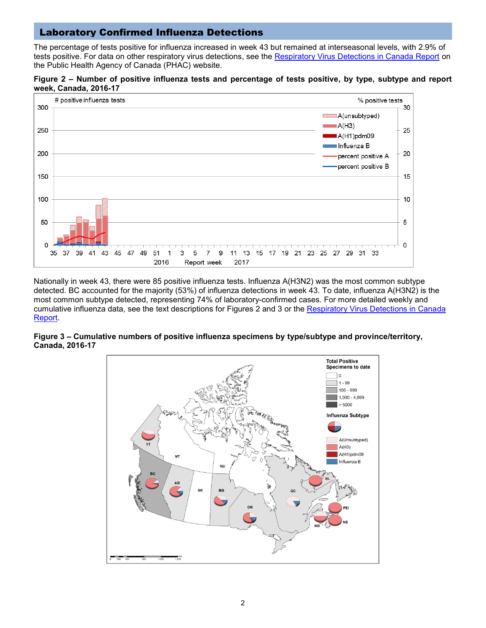## Laboratory Confirmed Influenza Detections

The percentage of tests positive for influenza increased in week 43 but remained at interseasonal levels, with 2.9% of tests positive. For data on other respiratory virus detections, see the [Respiratory Virus Detections in Canada Report](http://www.phac-aspc.gc.ca/bid-bmi/dsd-dsm/rvdi-divr/index-eng.php) on the Public Health Agency of Canada (PHAC) website.





Nationally in week 43, there were 85 positive influenza tests. Influenza A(H3N2) was the most common subtype detected. BC accounted for the majority (53%) of influenza detections in week 43. To date, influenza A(H3N2) is the most common subtype detected, representing 74% of laboratory-confirmed cases. For more detailed weekly and cumulative influenza data, see the text descriptions for Figures 2 and 3 or the Respiratory Virus Detections in Canada [Report.](http://www.phac-aspc.gc.ca/bid-bmi/dsd-dsm/rvdi-divr/index-eng.php)

#### **Figure 3 – Cumulative numbers of positive influenza specimens by type/subtype and province/territory, Canada, 2016-17**

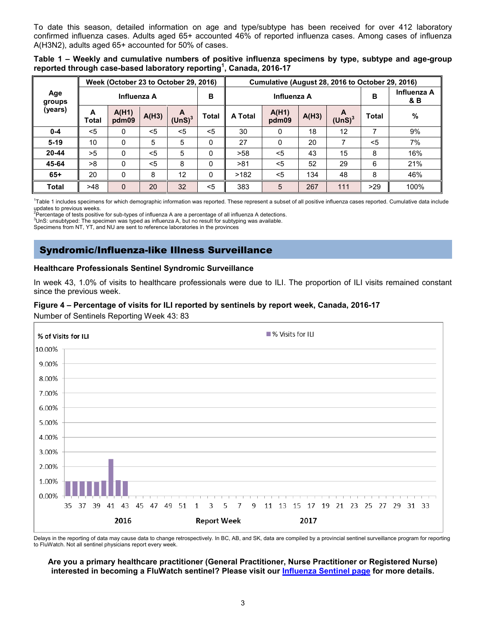To date this season, detailed information on age and type/subtype has been received for over 412 laboratory confirmed influenza cases. Adults aged 65+ accounted 46% of reported influenza cases. Among cases of influenza A(H3N2), adults aged 65+ accounted for 50% of cases.

| Table 1 – Weekly and cumulative numbers of positive influenza specimens by type, subtype and age-group |  |  |  |  |
|--------------------------------------------------------------------------------------------------------|--|--|--|--|
| reported through case-based laboratory reporting <sup>1</sup> , Canada, 2016-17                        |  |  |  |  |

|                              |            | Week (October 23 to October 29, 2016) |       |                         |       | Cumulative (August 28, 2016 to October 29, 2016) |                |       |                         |              |      |  |
|------------------------------|------------|---------------------------------------|-------|-------------------------|-------|--------------------------------------------------|----------------|-------|-------------------------|--------------|------|--|
| Age<br>Influenza A<br>groups |            |                                       |       | в                       |       | Influenza A                                      |                | в     | Influenza A<br>& B      |              |      |  |
| (years)                      | A<br>Total | A(H1)<br>pdm09                        | A(H3) | A<br>(UnS) <sup>3</sup> | Total | A Total                                          | A(H1)<br>pdm09 | A(H3) | A<br>(UnS) <sup>3</sup> | <b>Total</b> | $\%$ |  |
| $0 - 4$                      | $<$ 5      | 0                                     | $<$ 5 | $<$ 5                   | $<$ 5 | 30                                               | 0              | 18    | 12                      | 7            | 9%   |  |
| $5-19$                       | 10         | 0                                     | 5     | 5                       | 0     | 27                                               | 0              | 20    |                         | $<$ 5        | 7%   |  |
| $20 - 44$                    | >5         | 0                                     | $<$ 5 | 5                       | 0     | >58                                              | $<$ 5          | 43    | 15                      | 8            | 16%  |  |
| 45-64                        | >8         | 0                                     | $<$ 5 | 8                       | 0     | >81                                              | $<$ 5          | 52    | 29                      | 6            | 21%  |  |
| $65+$                        | 20         | 0                                     | 8     | 12                      | 0     | >182                                             | $<$ 5          | 134   | 48                      | 8            | 46%  |  |
| <b>Total</b>                 | >48        | 0                                     | 20    | 32                      | $5$   | 383                                              | 5              | 267   | 111                     | >29          | 100% |  |

<sup>1</sup>Table 1 includes specimens for which demographic information was reported. These represent a subset of all positive influenza cases reported. Cumulative data include

updates to previous weeks.<br><sup>2</sup>Percentage of tests positive for sub-types of influenza A are a percentage of all influenza A detections.

 $3$ UnS: unsubtyped: The specimen was typed as influenza A, but no result for subtyping was available.

Specimens from NT, YT, and NU are sent to reference laboratories in the provinces

## Syndromic/Influenza-like Illness Surveillance

#### **Healthcare Professionals Sentinel Syndromic Surveillance**

In week 43, 1.0% of visits to healthcare professionals were due to ILI. The proportion of ILI visits remained constant since the previous week.

#### **Figure 4 – Percentage of visits for ILI reported by sentinels by report week, Canada, 2016-17**

Number of Sentinels Reporting Week 43: 83



Delays in the reporting of data may cause data to change retrospectively. In BC, AB, and SK, data are compiled by a provincial sentinel surveillance program for reporting to FluWatch. Not all sentinel physicians report every week.

#### **Are you a primary healthcare practitioner (General Practitioner, Nurse Practitioner or Registered Nurse) interested in becoming a FluWatch sentinel? Please visit our [Influenza Sentinel page](http://healthycanadians.gc.ca/diseases-conditions-maladies-affections/disease-maladie/flu-grippe/surveillance/sentinel-recruiters-recruteurs-sentinelles-eng.php) for more details.**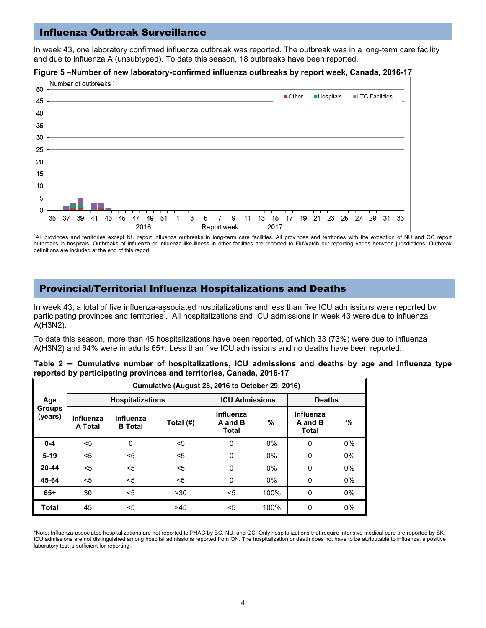### Influenza Outbreak Surveillance

In week 43, one laboratory confirmed influenza outbreak was reported. The outbreak was in a long-term care facility and due to influenza A (unsubtyped). To date this season, 18 outbreaks have been reported.



#### **Figure 5 –Number of new laboratory-confirmed influenza outbreaks by report week, Canada, 2016-17**

<sup>1</sup>All provinces and territories except NU report influenza outbreaks in long-term care facilities. All provinces and territories with the exception of NU and QC report outbreaks in hospitals. Outbreaks of influenza or influenza-like-illness in other facilities are reported to FluWatch but reporting varies between jurisdictions. Outbreak definitions are included at the end of this report.

### Provincial/Territorial Influenza Hospitalizations and Deaths

In week 43, a total of five influenza-associated hospitalizations and less than five ICU admissions were reported by participating provinces and territories[.](http://www.phac-aspc.gc.ca/fluwatch/14-15/w14_15/index-eng.php#st) All hospitalizations and ICU admissions in week 43 were due to influenza A(H3N2).

To date this season, more than 45 hospitalizations have been reported, of which 33 (73%) were due to influenza A(H3N2) and 64% were in adults 65+. Less than five ICU admissions and no deaths have been reported.

|  |  | Table 2 – Cumulative number of hospitalizations, ICU admissions and deaths by age and Influenza type |  |  |  |  |  |
|--|--|------------------------------------------------------------------------------------------------------|--|--|--|--|--|
|  |  | reported by participating provinces and territories, Canada, 2016-17                                 |  |  |  |  |  |

|                          | Cumulative (August 28, 2016 to October 29, 2016) |                             |           |                                      |       |                               |       |  |  |  |  |  |  |
|--------------------------|--------------------------------------------------|-----------------------------|-----------|--------------------------------------|-------|-------------------------------|-------|--|--|--|--|--|--|
| Age                      |                                                  | <b>Hospitalizations</b>     |           | <b>ICU Admissions</b>                |       | <b>Deaths</b>                 |       |  |  |  |  |  |  |
| <b>Groups</b><br>(years) | Influenza<br>A Total                             | Influenza<br><b>B</b> Total | Total (#) | Influenza<br>A and B<br><b>Total</b> | %     | Influenza<br>A and B<br>Total | %     |  |  |  |  |  |  |
| $0 - 4$                  | $<$ 5                                            | 0                           | <5        | $\Omega$                             | $0\%$ | 0                             | $0\%$ |  |  |  |  |  |  |
| $5-19$                   | $<$ 5                                            | <5                          | $<$ 5     | $\Omega$                             | 0%    | $\mathbf{0}$                  | $0\%$ |  |  |  |  |  |  |
| 20-44                    | $<$ 5                                            | <5                          | <5        | 0                                    | $0\%$ | 0                             | 0%    |  |  |  |  |  |  |
| 45-64                    | $<$ 5                                            | <5                          | <5        | $\mathbf{0}$                         | 0%    | 0                             | $0\%$ |  |  |  |  |  |  |
| $65+$                    | 30                                               | <5                          | >30       | $<$ 5                                | 100%  | 0                             | 0%    |  |  |  |  |  |  |
| <b>Total</b>             | 45                                               | <5                          | >45       | $<$ 5                                | 100%  | $\Omega$                      | 0%    |  |  |  |  |  |  |

\*Note: Influenza-associated hospitalizations are not reported to PHAC by BC, NU, and QC. Only hospitalizations that require intensive medical care are reported by SK. ICU admissions are not distinguished among hospital admissions reported from ON. The hospitalization or death does not have to be attributable to influenza, a positive laboratory test is sufficient for reporting.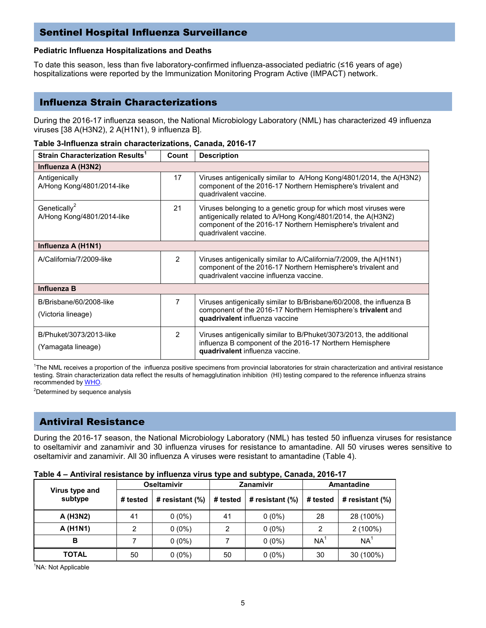## Sentinel Hospital Influenza Surveillance

#### **Pediatric Influenza Hospitalizations and Deaths**

To date this season, less than five laboratory-confirmed influenza-associated pediatric (≤16 years of age) hospitalizations were reported by the Immunization Monitoring Program Active (IMPACT) network.

### Influenza Strain Characterizations

During the 2016-17 influenza season, the National Microbiology Laboratory (NML) has characterized 49 influenza viruses [38 A(H3N2), 2 A(H1N1), 9 influenza B].

| Strain Characterization Results <sup>1</sup>           | Count          | <b>Description</b>                                                                                                                                                                                                       |
|--------------------------------------------------------|----------------|--------------------------------------------------------------------------------------------------------------------------------------------------------------------------------------------------------------------------|
| Influenza A (H3N2)                                     |                |                                                                                                                                                                                                                          |
| Antigenically<br>A/Hong Kong/4801/2014-like            | 17             | Viruses antigenically similar to A/Hong Kong/4801/2014, the A(H3N2)<br>component of the 2016-17 Northern Hemisphere's trivalent and<br>quadrivalent vaccine.                                                             |
| Genetically <sup>2</sup><br>A/Hong Kong/4801/2014-like | 21             | Viruses belonging to a genetic group for which most viruses were<br>antigenically related to A/Hong Kong/4801/2014, the A(H3N2)<br>component of the 2016-17 Northern Hemisphere's trivalent and<br>quadrivalent vaccine. |
| Influenza A (H1N1)                                     |                |                                                                                                                                                                                                                          |
| A/California/7/2009-like                               | $\overline{2}$ | Viruses antigenically similar to A/California/7/2009, the A(H1N1)<br>component of the 2016-17 Northern Hemisphere's trivalent and<br>quadrivalent vaccine influenza vaccine.                                             |
| <b>Influenza B</b>                                     |                |                                                                                                                                                                                                                          |
| B/Brisbane/60/2008-like<br>(Victoria lineage)          | 7              | Viruses antigenically similar to B/Brisbane/60/2008, the influenza B<br>component of the 2016-17 Northern Hemisphere's trivalent and<br>quadrivalent influenza vaccine                                                   |
| B/Phuket/3073/2013-like<br>(Yamagata lineage)          | $\overline{2}$ | Viruses antigenically similar to B/Phuket/3073/2013, the additional<br>influenza B component of the 2016-17 Northern Hemisphere<br>quadrivalent influenza vaccine.                                                       |

|  |  | Table 3-Influenza strain characterizations, Canada, 2016-17 |  |  |
|--|--|-------------------------------------------------------------|--|--|
|--|--|-------------------------------------------------------------|--|--|

1 The NML receives a proportion of the influenza positive specimens from provincial laboratories for strain characterization and antiviral resistance testing. Strain characterization data reflect the results of hemagglutination inhibition (HI) testing compared to the reference influenza strains recommended b[y WHO.](http://www.who.int/influenza/vaccines/virus/recommendations/en/)

<[s](http://www.who.int/csr/disease/coronavirus_infections/en/index.html)up>2</sup>Determined by sequence analysis

# Antiviral Resistance

During the 2016-17 season, the National Microbiology Laboratory (NML) has tested 50 influenza viruses for resistance to oseltamivir and zanamivir and 30 influenza viruses for resistance to amantadine. All 50 viruses weres sensitive to oseltamivir and zanamivir. All 30 influenza A viruses were resistant to amantadine (Table 4).

| Table 4 – Alitiviral resistance by inhueliza virus type and subtype, canada, 2010-17 |          |                          |          |                    |                 |                    |  |  |  |  |
|--------------------------------------------------------------------------------------|----------|--------------------------|----------|--------------------|-----------------|--------------------|--|--|--|--|
| Virus type and<br>subtype                                                            |          | Oseltamivir<br>Zanamivir |          |                    |                 | <b>Amantadine</b>  |  |  |  |  |
|                                                                                      | # tested | # resistant (%)          | # tested | # resistant $(\%)$ | # tested        | # resistant $(\%)$ |  |  |  |  |
| A (H3N2)                                                                             | 41       | $0(0\%)$                 | 41       | $0(0\%)$           | 28              | 28 (100%)          |  |  |  |  |
| A (H1N1)                                                                             | 2        | $0(0\%)$                 | 2        | $0(0\%)$           |                 | $2(100\%)$         |  |  |  |  |
| в                                                                                    |          | $0(0\%)$                 |          | $0(0\%)$           | NA <sup>®</sup> | NA                 |  |  |  |  |
| <b>TOTAL</b>                                                                         | 50       | $0(0\%)$                 | 50       | $0(0\%)$           | 30              | 30 (100%)          |  |  |  |  |

**Table 4 – Antiviral resistance by influenza virus type and subtype, Canada, 2016-17**

<sup>1</sup>NA: Not Applicable